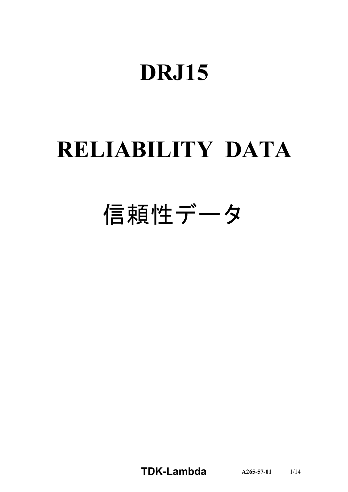# **DRJ15**

# **RELIABILITY DATA**

# 信頼性データ

**TDKLambda A2655701** 1/14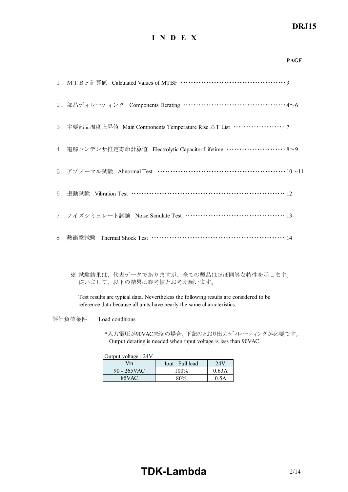## *RWS 50B600B Series* **DRJ15**

## **I N D E X**

|                                                                                | <b>PAGE</b> |
|--------------------------------------------------------------------------------|-------------|
|                                                                                |             |
| 2. 部品ディレーティング Components Derating ……………………………………4~6                            |             |
| 3. 主要部品温度上昇值 Main Components Temperature Rise △T List ···················· 7   |             |
| 4. 電解コンデンサ推定寿命計算値 Electrolytic Capacitor Lifetime ························ 8~9 |             |
| 5. アブノーマル試験 Abnormal Test ……………………………………………………10~11                            |             |
| 6. 振動試験 Vibration Test …………………………………………………………… 12                              |             |
| 7. ノイズシミュレート試験 Noise Simulate Test ………………………………………… 13                         |             |
| 8. 熱衝擊試験 Thermal Shock Test ………………………………………………… 14                             |             |

※ 試験結果は、代表データでありますが、全ての製品はほぼ同等な特性を示します。 従いまして、以下の結果は参考値とお考え願います。

Test results are typical data. Nevertheless the following results are considered to be reference data because all units have nearly the same characteristics.

評価負荷条件 Load conditions

\*入力電圧が90VAC未満の場合、下記のとおり出力ディレーティングが必要です。 Output derating is needed when input voltage is less than 90VAC.

Output voltage : 24V

| Vin         | Iout : Full load | 24V   |
|-------------|------------------|-------|
| 90 - 265VAC | 100%             | 0.63A |
| 85VAC       | 80%              | 0.5A  |

# **TDK-Lambda** 2/14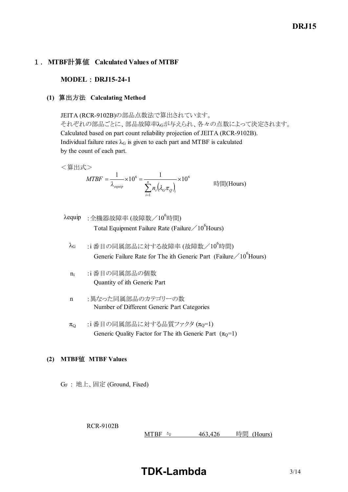# *RWS 50B600B Series* **DRJ15**

## 1.**MTBF**計算値 **Calculated Values of MTBF**

#### **MODEL** : DRJ15-24-1

#### **(1)** 算出方法 **Calculating Method**

JEITA (RCR-9102B)の部品点数法で算出されています。 それぞれの部品ごとに、部品故障率λGが与えられ、各々の点数によって決定されます。 Calculated based on part count reliability projection of JEITA (RCR-9102B). Individual failure rates  $\lambda$ G is given to each part and MTBF is calculated by the count of each part.

<算出式>

$$
MTBF = \frac{1}{\lambda_{\text{equip}}} \times 10^6 = \frac{1}{\sum_{i=1}^n n_i (\lambda_{\text{c}} \pi_{\text{c}})_i} \times 10^6
$$
 \n
$$
\text{Hil}(\text{Hours})
$$

- $\lambda$ equip : 全機器故障率 (故障数/10<sup>6</sup>時間) Total Equipment Failure Rate (Failure  $/10^6$ Hours)
	- $\lambda$ G :i番目の同属部品に対する故障率 (故障数/ $10^6$ 時間) Generic Failure Rate for The ith Generic Part (Failure  $/10^6$  Hours)
	- n<sup>i</sup> :i 番目の同属部品の個数 Quantity of ith Generic Part
	- n :異なった同属部品のカテゴリーの数 Number of Different Generic Part Categories
	- $\pi_{\Omega}$  :i 番目の同属部品に対する品質ファクタ  $(\pi_{\Omega}=1)$ Generic Quality Factor for The ith Generic Part  $(\pi_0=1)$

#### **(2) MTBF**値 **MTBF Values**

GF : 地上、固定 (Ground, Fixed)

RCR-9102B

MTBF ≒  $463,426$  時間 (Hours)

**TDK-Lambda**  $3/14$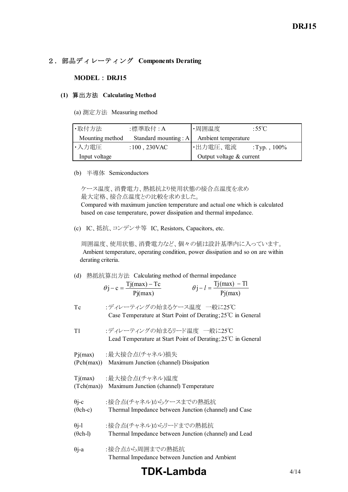## 2.部品ディレーティング **Components Derating**

#### **MODEL** : **DRJ15**

#### **(1)** 算出方法 **Calculating Method**

(a) 測定方法 Measuring method

| ·取付方法           | :標準取付 : A               | ・周囲温度                      | :55 $\mathrm{C}$ |
|-----------------|-------------------------|----------------------------|------------------|
| Mounting method | Standard mounting : $A$ | Ambient temperature        |                  |
| ・入力電圧           | : $100$ , $230$ VAC     | ・出力電圧、電流                   | : Typ., $100\%$  |
| Input voltage   |                         | Output voltage $&$ current |                  |

(b) 半導体 Semiconductors

ケース温度、消費電力、熱抵抗より使用状態の接合点温度を求め 最大定格、接合点温度との比較を求めました。

 Compared with maximum junction temperature and actual one which is calculated based on case temperature, power dissipation and thermal impedance.

(c) IC、抵抗、コンデンサ等 IC, Resistors, Capacitors, etc.

 周囲温度、使用状態、消費電力など、個々の値は設計基準内に入っています。 Ambient temperature, operating condition, power dissipation and so on are within derating criteria.

| (d)                             | 熱抵抗算出方法 Calculating method of thermal impedance<br>$\theta j - l = \frac{Tj(max) - Tl}{Pj(max)}$<br>$\theta$ j – c = $\frac{Tj(max) - Tc}{Pi(max)}$ |
|---------------------------------|-----------------------------------------------------------------------------------------------------------------------------------------------------|
| Tc                              | :ディレーティングの始まるケース温度 一般に25℃<br>Case Temperature at Start Point of Derating; 25°C in General                                                           |
| T1                              | :ディレーティングの始まるリード温度 一般に25℃<br>Lead Temperature at Start Point of Derating; 25°C in General                                                           |
|                                 | Pj(max) :最大接合点(チャネル)損失<br>(Pch(max)) Maximum Junction (channel) Dissipation                                                                         |
|                                 | Tj(max) :最大接合点(チャネル)温度<br>(Tch(max)) Maximum Junction (channel) Temperature                                                                         |
| $\theta$ j-c<br>$(\theta$ ch-c) | :接合点(チャネル)からケースまでの熱抵抗<br>Thermal Impedance between Junction (channel) and Case                                                                      |
| $\theta$ j-l<br>$(\theta$ ch-l) | :接合点(チャネル)からリードまでの熱抵抗<br>Thermal Impedance between Junction (channel) and Lead                                                                      |
| $\theta$ j-a                    | :接合点から周囲までの熱抵抗                                                                                                                                      |

Thermal Impedance between Junction and Ambient

# **TDK-Lambda**  $4/14$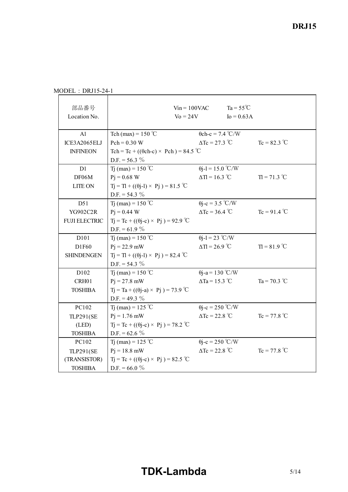MODEL : DRJ15-24-1

| 部品番号<br>Location No. |                                                     | $V$ in = 100VAC<br>$\text{Vo} = 24\text{V}$ | $Ta = 55^{\circ}C$<br>$I_0 = 0.63A$ |                |
|----------------------|-----------------------------------------------------|---------------------------------------------|-------------------------------------|----------------|
| A1                   | Tch (max) = $150^{\circ}$ C                         | $\theta$ ch-c = 7.4 °C/W                    |                                     |                |
| ICE3A2065ELJ         | $Pch = 0.30 W$                                      | $\Delta Tc = 27.3$ °C                       |                                     | $Tc = 82.3 °C$ |
| <b>INFINEON</b>      | Tch = Tc + (( $\theta$ ch-c) × Pch) = 84.5 °C       |                                             |                                     |                |
|                      | $D.F. = 56.3 \%$                                    |                                             |                                     |                |
| D1                   | T <sub>1</sub> (max) = $150^{\circ}$ C              | $\theta$ j-l = 15.0 °C/W                    |                                     |                |
| DF06M                | $P_1 = 0.68$ W                                      | $\Delta T = 16.3$ °C                        |                                     | $T = 71.3 °C$  |
| <b>LITE ON</b>       | $Tj = Tl + ((\theta j - l) \times Pj) = 81.5$ °C    |                                             |                                     |                |
|                      | $D.F. = 54.3 \%$                                    |                                             |                                     |                |
| D51                  | T <sub>1</sub> (max) = 150 °C                       | $\theta$ j-c = 3.5 °C/W                     |                                     |                |
| YG902C2R             | $Pi = 0.44$ W                                       | $\Delta Tc = 36.4$ °C                       |                                     | $Tc = 91.4 °C$ |
| <b>FUJI ELECTRIC</b> | $Tj = Tc + ((\theta j - c) \times Pj) = 92.9$ °C    |                                             |                                     |                |
|                      | D.F. = $61.9 \%$                                    |                                             |                                     |                |
| D101                 | Tj (max) = $150^{\circ}$ C                          | $\theta$ j-l = 23 °C/W                      |                                     |                |
| D1F60                | $P_1 = 22.9$ mW                                     | $\Delta T = 26.9$ °C                        |                                     | $T = 81.9$ °C  |
| <b>SHINDENGEN</b>    | $T_1 = T_1 + ((\theta_1 - 1) \times P_1) = 82.4$ °C |                                             |                                     |                |
|                      | D.F. = $54.3 \%$                                    |                                             |                                     |                |
| D102                 | T <sub>1</sub> (max) = 150 °C                       | $\theta$ j-a = 130 °C/W                     |                                     |                |
| CRH01                | $Pi = 27.8$ mW                                      | $\Delta$ Ta = 15.3 °C                       |                                     | Ta = 70.3 °C   |
| <b>TOSHIBA</b>       | $Tj = Ta + ((\theta j - a) \times Pj) = 73.9$ °C    |                                             |                                     |                |
|                      | D.F. = 49.3 $%$                                     |                                             |                                     |                |
| PC102                | T <sub>1</sub> (max) = 125 °C                       | $\theta$ j-c = 250 °C/W                     |                                     |                |
| <b>TLP291(SE</b>     | $Pi = 1.76$ mW                                      | $\Delta Tc = 22.8 \text{ °C}$               |                                     | $Tc = 77.8 °C$ |
| (LED)                | $Tj = Tc + ((\theta j - c) \times Pj) = 78.2$ °C    |                                             |                                     |                |
| <b>TOSHIBA</b>       | D.F. = $62.6\%$                                     |                                             |                                     |                |
| PC102                | T <sub>1</sub> (max) = 125 °C                       | $\theta$ j-c = 250 °C/W                     |                                     |                |
| <b>TLP291(SE</b>     | $P_1 = 18.8$ mW                                     | $\Delta Tc = 22.8 \text{ °C}$               |                                     | $Tc = 77.8 °C$ |
| (TRANSISTOR)         | $Tj = Tc + ((\theta j - c) \times Pj) = 82.5$ °C    |                                             |                                     |                |
| <b>TOSHIBA</b>       | D.F. = $66.0\%$                                     |                                             |                                     |                |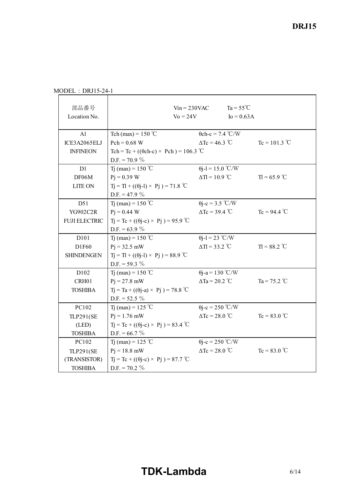|  |  |  | $MODEL : DRJ15-24-1$ |
|--|--|--|----------------------|
|--|--|--|----------------------|

| 部品番号<br>Location No. |                                                  | $V$ in = 230VAC<br>$\mathrm{Vo} = 24\mathrm{V}$ | $Ta = 55^{\circ}C$<br>$I_0 = 0.63A$ |                     |
|----------------------|--------------------------------------------------|-------------------------------------------------|-------------------------------------|---------------------|
| A1                   | Tch (max) = $150^{\circ}$ C                      | $\theta$ ch-c = 7.4 °C/W                        |                                     |                     |
| ICE3A2065ELJ         | $Pch = 0.68 W$                                   | $\Delta$ Tc = 46.3 °C                           |                                     | $Tc = 101.3 °C$     |
| <b>INFINEON</b>      | Tch = Tc + (( $\theta$ ch-c) × Pch) = 106.3 °C   |                                                 |                                     |                     |
|                      | $D.F. = 70.9 \%$                                 |                                                 |                                     |                     |
| D1                   | Tj (max) = $150^{\circ}$ C                       | $\theta$ j-l = 15.0 °C/W                        |                                     |                     |
| DF06M                | $Pj = 0.39 W$                                    | $\Delta T = 10.9$ °C                            |                                     | $T = 65.9^{\circ}C$ |
| <b>LITE ON</b>       | $Tj = Tl + ((\theta j - l) \times Pj) = 71.8$ °C |                                                 |                                     |                     |
|                      | D.F. = 47.9 $%$                                  |                                                 |                                     |                     |
| D51                  | T <sub>1</sub> (max) = $150^{\circ}$ C           | $\theta$ j-c = 3.5 °C/W                         |                                     |                     |
| YG902C2R             | $Pi = 0.44$ W                                    | $\Delta Tc = 39.4$ °C                           |                                     | $Tc = 94.4 °C$      |
| <b>FUJI ELECTRIC</b> | $Tj = Tc + ((\theta j - c) \times Pj) = 95.9$ °C |                                                 |                                     |                     |
|                      | D.F. = $63.9 \%$                                 |                                                 |                                     |                     |
| D101                 | Tj (max) = $150^{\circ}$ C                       | $\theta$ j-l = 23 °C/W                          |                                     |                     |
| D1F60                | $Pj = 32.5$ mW                                   | $\Delta T = 33.2$ °C                            |                                     | $T = 88.2 °C$       |
| <b>SHINDENGEN</b>    | $Tj = TI + ((\theta j - 1) \times Pj) = 88.9$ °C |                                                 |                                     |                     |
|                      | D.F. = $59.3 \%$                                 |                                                 |                                     |                     |
| D102                 | Tj (max) = 150 °C                                | $\theta$ j-a = 130 °C/W                         |                                     |                     |
| CRH01                | $P_1 = 27.8$ mW                                  | $\Delta$ Ta = 20.2 °C                           |                                     | Ta = $75.2$ °C      |
| <b>TOSHIBA</b>       | $Tj = Ta + ((\theta j - a) \times Pj) = 78.8$ °C |                                                 |                                     |                     |
|                      | $D.F. = 52.5 \%$                                 |                                                 |                                     |                     |
| PC102                | Tj (max) = 125 °C                                | $\theta$ j-c = 250 °C/W                         |                                     |                     |
| <b>TLP291(SE</b>     | $Pi = 1.76$ mW                                   | $\Delta Tc = 28.0$ °C                           |                                     | $Tc = 83.0 °C$      |
| (LED)                | $Tj = Tc + ((\theta j - c) \times Pj) = 83.4$ °C |                                                 |                                     |                     |
| <b>TOSHIBA</b>       | $D.F. = 66.7 \%$                                 |                                                 |                                     |                     |
| PC102                | Tj (max) = 125 °C                                | $\theta$ j-c = 250 °C/W                         |                                     |                     |
| <b>TLP291(SE</b>     | $Pj = 18.8$ mW                                   | $\Delta Tc = 28.0$ °C                           |                                     | $Tc = 83.0 °C$      |
| (TRANSISTOR)         | $Tj = Tc + ((\theta j - c) \times Pj) = 87.7$ °C |                                                 |                                     |                     |
| <b>TOSHIBA</b>       | $D.F. = 70.2 \%$                                 |                                                 |                                     |                     |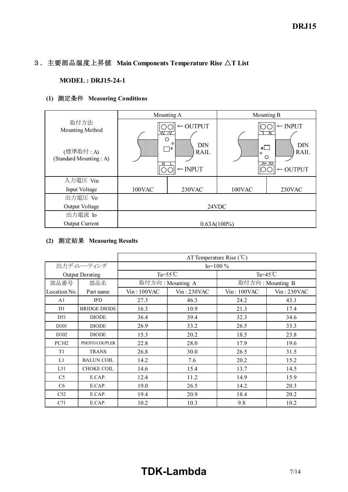# 3.主要部品温度上昇値 **Main Components Temperature Rise** △**T List**

#### **MODEL : DRJ15-24-1**

## **(1)** 測定条件 **Measuring Conditions**

|                                    |            | Mounting A                                               |                            | Mounting B                                              |
|------------------------------------|------------|----------------------------------------------------------|----------------------------|---------------------------------------------------------|
| 取付方法<br>Mounting Method            | +∨ –∨<br>О | $\leftarrow$ OUTPUT                                      |                            | $\leftarrow$ INPUT<br>Ν                                 |
| (標準取付:A)<br>(Standard Mounting: A) | 888888888  | $\circ$<br>DIN<br>¬<br><b>RAIL</b><br>$\leftarrow$ INPUT | $\circ$<br>$\circ$<br>mmmm | DIN<br><b>RAIL</b><br>∩<br>A- A+<br>$\leftarrow$ OUTPUT |
| 入力電圧 Vin                           |            |                                                          |                            |                                                         |
| Input Voltage                      | 100VAC     | 230VAC                                                   | 100VAC                     | 230VAC                                                  |
| 出力電圧 Vo                            |            |                                                          |                            |                                                         |
| Output Voltage                     |            |                                                          | 24VDC                      |                                                         |
| 出力電流 Io                            |            |                                                          |                            |                                                         |
| <b>Output Current</b>              |            | $0.63A(100\%)$                                           |                            |                                                         |

## **(2)** 測定結果 **Measuring Results**

|                  |                        |                |                    | $\Delta T$ Temperature Rise (°C) |             |  |  |  |  |  |  |
|------------------|------------------------|----------------|--------------------|----------------------------------|-------------|--|--|--|--|--|--|
|                  | 出力ディレーティング             | $I_0 = 100 \%$ |                    |                                  |             |  |  |  |  |  |  |
|                  | <b>Output Derating</b> |                | $Ta = 55^{\circ}C$ | Ta= $45^{\circ}$ C               |             |  |  |  |  |  |  |
| 部品番号             | 部品名                    |                | 取付方向: Mounting A   | 取付方向: Mounting B                 |             |  |  |  |  |  |  |
| Location No.     | Part name              | $Vin$ : 100VAC | Vin: 230VAC        | Vin: 100VAC                      | Vin: 230VAC |  |  |  |  |  |  |
| A <sub>1</sub>   | <b>IPD</b>             | 27.3           | 46.3               | 24.2                             | 43.1        |  |  |  |  |  |  |
| D1               | <b>BRIDGE DIODE</b>    | 16.3           | 10.9               | 21.3                             | 17.4        |  |  |  |  |  |  |
| D51              | <b>DIODE</b>           | 36.4           | 39.4               | 32.3                             | 34.6        |  |  |  |  |  |  |
| D <sub>101</sub> | <b>DIODE</b>           | 26.9           | 33.2               | 26.5                             | 33.3        |  |  |  |  |  |  |
| D <sub>102</sub> | <b>DIODE</b>           | 15.3           | 20.2               | 18.5                             | 23.8        |  |  |  |  |  |  |
| PC102            | PHOTO COUPLER          | 22.8           | 28.0               | 17.9                             | 19.6        |  |  |  |  |  |  |
| T <sub>1</sub>   | <b>TRANS</b>           | 26.8           | 30.0               | 26.5                             | 31.5        |  |  |  |  |  |  |
| L1               | <b>BALUN COIL</b>      | 14.2           | 7.6                | 20.2                             | 15.2        |  |  |  |  |  |  |
| L51              | <b>CHOKE COIL</b>      | 14.6           | 15.4               | 13.7                             | 14.5        |  |  |  |  |  |  |
| C <sub>5</sub>   | E.CAP.                 | 12.4           | 11.2               | 14.9                             | 15.9        |  |  |  |  |  |  |
| C6               | E.CAP.                 | 19.0           | 26.5               | 14.2                             | 20.3        |  |  |  |  |  |  |
| C52              | E.CAP.                 | 19.4           | 20.9               | 18.4                             | 20.2        |  |  |  |  |  |  |
| C71              | E.CAP.                 | 10.2           | 10.3               | 9.8                              | 10.2        |  |  |  |  |  |  |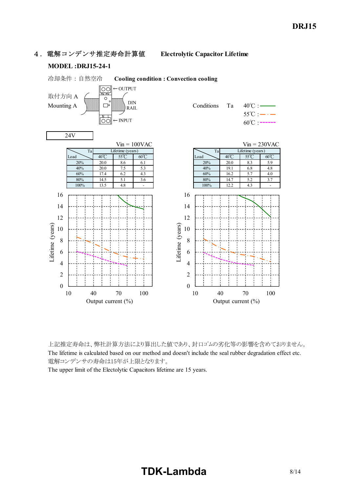4.電解コンデンサ推定寿命計算値 **Electrolytic Capacitor Lifetime**

#### **MODEL**: DRJ15-24-1



上記推定寿命は、弊社計算方法により算出した値であり、封口ゴムの劣化等の影響を含めておりません。 The lifetime is calculated based on our method and doesn't include the seal rubber degradation effect etc. 電解コンデンサの寿命は15年が上限となります。

The upper limit of the Electolytic Capacitors lifetime are 15 years.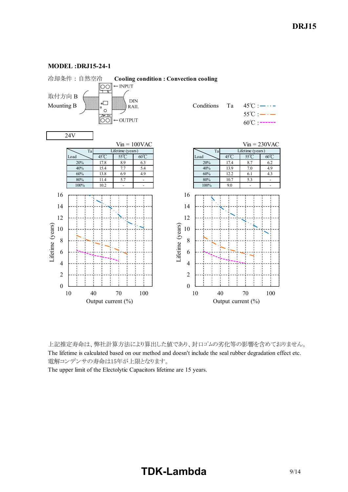

**MODEL**: DRJ15-24-1

上記推定寿命は、弊社計算方法により算出した値であり、封口ゴムの劣化等の影響を含めておりません。 The lifetime is calculated based on our method and doesn't include the seal rubber degradation effect etc. 電解コンデンサの寿命は15年が上限となります。

The upper limit of the Electolytic Capacitors lifetime are 15 years.

# **TDK-Lambda** 9/14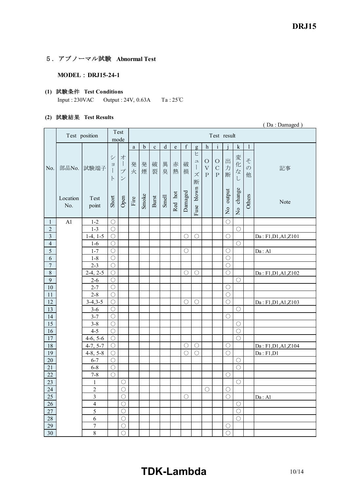### 5.アブノーマル試験 **Abnormal Test**

#### **MODEL** : DRJ15-24-1

## **(1)** 試験条件 **Test Conditions**

Input :  $230\text{VAC}$  Output :  $24\text{V}$ ,  $0.63\text{A}$  Ta :  $25\text{°C}$ 

#### **(2)** 試験結果 **Test Results**

|                         |                 |                         |                          |                                                                                   |                       |             |             |             |           |             |                                                                                                                                                                                                                                                                                                                                                                                                                                                                                                                             |                                        |                                   |             |                   |                         | (Da: Damaged)        |
|-------------------------|-----------------|-------------------------|--------------------------|-----------------------------------------------------------------------------------|-----------------------|-------------|-------------|-------------|-----------|-------------|-----------------------------------------------------------------------------------------------------------------------------------------------------------------------------------------------------------------------------------------------------------------------------------------------------------------------------------------------------------------------------------------------------------------------------------------------------------------------------------------------------------------------------|----------------------------------------|-----------------------------------|-------------|-------------------|-------------------------|----------------------|
|                         |                 | Test position           |                          | Test<br>mode                                                                      | Test result           |             |             |             |           |             |                                                                                                                                                                                                                                                                                                                                                                                                                                                                                                                             |                                        |                                   |             |                   |                         |                      |
|                         |                 |                         |                          |                                                                                   | $\rm{a}$              | $\mathbf b$ | $\mathbf c$ | $\mathbf d$ | ${\rm e}$ | $\mathbf f$ | g                                                                                                                                                                                                                                                                                                                                                                                                                                                                                                                           | $\boldsymbol{h}$                       | $\rm i$                           |             | $\bf k$           | 1                       |                      |
| No.                     | 部品No.           | 試験端子                    | シ<br>$\Xi$<br>$\vdash$   | 才<br>$\overline{\phantom{a}}$<br>$\overline{\mathcal{I}}^{\circ}$<br>$\mathcal V$ | 発<br>火                | 発<br>煙      | 破<br>裂      | 異<br>臭      | 赤<br>熱    | 破<br>損      | ヒ<br>$\mathfrak{\text{I}}% \qquad \qquad \mathfrak{\text{I}}% \qquad \qquad \mathfrak{\text{I}}% \qquad \qquad \mathfrak{\text{I}}% \qquad \qquad \mathfrak{\text{I}}% \qquad \qquad \mathfrak{\text{I}}% \qquad \qquad \mathfrak{\text{I}}% \qquad \qquad \mathfrak{\text{I}}% \qquad \qquad \mathfrak{\text{I}}% \qquad \qquad \mathfrak{\text{I}}% \qquad \qquad \mathfrak{\text{I}}% \qquad \qquad \mathfrak{\text{I}}% \qquad \qquad \mathfrak{\text{I}}% \qquad \qquad \mathfrak{\text{I}}% \q$<br>$\Big\}$<br>ズ<br>断 | $\bigcirc$<br>$\bar{V}$<br>$\mathbf P$ | $\circ$<br>$\mathbf C$<br>$\rm P$ | 出<br>力<br>断 | 変<br>化な<br>$\cup$ | そ<br>$\mathcal{O}$<br>他 | 記事                   |
|                         | Location<br>No. | Test<br>point           | Short                    | Open                                                                              | $\operatorname{Fire}$ | Smoke       | Burst       | Smell       | Red hot   | Damaged     | Fuse blown                                                                                                                                                                                                                                                                                                                                                                                                                                                                                                                  |                                        |                                   | No output   | No change         | Others                  | Note                 |
| $\mathbf{1}$            | A1              | $1 - 2$                 | $\bigcirc$               |                                                                                   |                       |             |             |             |           |             |                                                                                                                                                                                                                                                                                                                                                                                                                                                                                                                             |                                        |                                   | $\bigcirc$  |                   |                         |                      |
| $\overline{c}$          |                 | $1 - 3$                 | $\bigcirc$               |                                                                                   |                       |             |             |             |           |             |                                                                                                                                                                                                                                                                                                                                                                                                                                                                                                                             |                                        |                                   |             | $\bigcirc$        |                         |                      |
| $\overline{\mathbf{3}}$ |                 | $1-4, 1-5$              | $\bigcirc$               |                                                                                   |                       |             |             |             |           | $\bigcirc$  | $\bigcirc$                                                                                                                                                                                                                                                                                                                                                                                                                                                                                                                  |                                        |                                   | $\bigcirc$  |                   |                         | Da: F1, D1, A1, Z101 |
| $\overline{4}$          |                 | $1-6$                   | $\bigcirc$               |                                                                                   |                       |             |             |             |           |             |                                                                                                                                                                                                                                                                                                                                                                                                                                                                                                                             |                                        |                                   |             | $\bigcirc$        |                         |                      |
| $\overline{5}$          |                 | $1 - 7$                 | $\bigcirc$               |                                                                                   |                       |             |             |             |           | O           |                                                                                                                                                                                                                                                                                                                                                                                                                                                                                                                             |                                        |                                   | $\bigcirc$  |                   |                         | Da: A1               |
| $\overline{6}$          |                 | $1 - 8$                 | $\bigcirc$               |                                                                                   |                       |             |             |             |           |             |                                                                                                                                                                                                                                                                                                                                                                                                                                                                                                                             |                                        |                                   | $\bigcirc$  |                   |                         |                      |
| $\boldsymbol{7}$        |                 | $2 - 3$                 | $\bigcirc$               |                                                                                   |                       |             |             |             |           |             |                                                                                                                                                                                                                                                                                                                                                                                                                                                                                                                             |                                        |                                   | $\bigcirc$  |                   |                         |                      |
| $\,8\,$                 |                 | $2-4, 2-5$              | $\bigcirc$               |                                                                                   |                       |             |             |             |           | O           | O                                                                                                                                                                                                                                                                                                                                                                                                                                                                                                                           |                                        |                                   | $\bigcirc$  |                   |                         | Da: F1, D1, A1, Z102 |
| 9                       |                 | $2 - 6$                 | $\bigcirc$               |                                                                                   |                       |             |             |             |           |             |                                                                                                                                                                                                                                                                                                                                                                                                                                                                                                                             |                                        |                                   |             | $\bigcirc$        |                         |                      |
| $10\,$                  |                 | $2 - 7$                 | $\bigcirc$               |                                                                                   |                       |             |             |             |           |             |                                                                                                                                                                                                                                                                                                                                                                                                                                                                                                                             |                                        |                                   | $\bigcirc$  |                   |                         |                      |
| 11                      |                 | $2 - 8$                 | $\bigcirc$               |                                                                                   |                       |             |             |             |           |             |                                                                                                                                                                                                                                                                                                                                                                                                                                                                                                                             |                                        |                                   | $\bigcirc$  |                   |                         |                      |
| 12                      |                 | $3-4, 3-5$              | $\bigcirc$               |                                                                                   |                       |             |             |             |           | $\bigcirc$  | $\bigcirc$                                                                                                                                                                                                                                                                                                                                                                                                                                                                                                                  |                                        |                                   | $\bigcirc$  |                   |                         | Da: F1, D1, A1, Z103 |
| 13<br>14                |                 | $3 - 6$<br>$3 - 7$      | $\bigcirc$<br>$\bigcirc$ |                                                                                   |                       |             |             |             |           |             |                                                                                                                                                                                                                                                                                                                                                                                                                                                                                                                             |                                        |                                   |             | $\bigcirc$        |                         |                      |
| 15                      |                 | $3 - 8$                 | $\bigcirc$               |                                                                                   |                       |             |             |             |           |             |                                                                                                                                                                                                                                                                                                                                                                                                                                                                                                                             |                                        |                                   | $\bigcirc$  | $\bigcirc$        |                         |                      |
| 16                      |                 | $4 - 5$                 | $\bigcirc$               |                                                                                   |                       |             |             |             |           |             |                                                                                                                                                                                                                                                                                                                                                                                                                                                                                                                             |                                        |                                   |             | $\bigcirc$        |                         |                      |
| 17                      |                 | $4-6, 5-6$              | $\bigcirc$               |                                                                                   |                       |             |             |             |           |             |                                                                                                                                                                                                                                                                                                                                                                                                                                                                                                                             |                                        |                                   |             | $\bigcirc$        |                         |                      |
| $18\,$                  |                 | $4-7, 5-7$              | $\bigcirc$               |                                                                                   |                       |             |             |             |           | $\bigcirc$  | $\bigcirc$                                                                                                                                                                                                                                                                                                                                                                                                                                                                                                                  |                                        |                                   | $\bigcirc$  |                   |                         | Da: F1, D1, A1, Z104 |
| $\overline{19}$         |                 | $4-8, 5-8$              | $\bigcirc$               |                                                                                   |                       |             |             |             |           | $\bigcirc$  | $\overline{\bigcirc}$                                                                                                                                                                                                                                                                                                                                                                                                                                                                                                       |                                        |                                   | $\bigcirc$  |                   |                         | Da: F1, D1           |
| $20\,$                  |                 | $6 - 7$                 | $\bigcirc$               |                                                                                   |                       |             |             |             |           |             |                                                                                                                                                                                                                                                                                                                                                                                                                                                                                                                             |                                        |                                   |             | $\bigcirc$        |                         |                      |
| 21                      |                 | $6 - 8$                 | $\bigcirc$               |                                                                                   |                       |             |             |             |           |             |                                                                                                                                                                                                                                                                                                                                                                                                                                                                                                                             |                                        |                                   |             | $\bigcirc$        |                         |                      |
| 22                      |                 | $7 - 8$                 | $\bigcirc$               |                                                                                   |                       |             |             |             |           |             |                                                                                                                                                                                                                                                                                                                                                                                                                                                                                                                             |                                        |                                   | $\bigcirc$  |                   |                         |                      |
| 23                      |                 | $\mathbf{1}$            |                          | $\bigcirc$                                                                        |                       |             |             |             |           |             |                                                                                                                                                                                                                                                                                                                                                                                                                                                                                                                             |                                        |                                   |             | $\bigcirc$        |                         |                      |
| $24\,$                  |                 | $\boldsymbol{2}$        |                          | $\bigcirc$                                                                        |                       |             |             |             |           |             |                                                                                                                                                                                                                                                                                                                                                                                                                                                                                                                             | O                                      |                                   | $\bigcirc$  |                   |                         |                      |
| 25                      |                 | $\overline{\mathbf{3}}$ |                          | $\bigcirc$                                                                        |                       |             |             |             |           | $\bigcirc$  |                                                                                                                                                                                                                                                                                                                                                                                                                                                                                                                             |                                        |                                   | $\bigcirc$  |                   |                         | Da: A1               |
| 26                      |                 | $\overline{4}$          |                          | $\bigcirc$                                                                        |                       |             |             |             |           |             |                                                                                                                                                                                                                                                                                                                                                                                                                                                                                                                             |                                        |                                   |             | $\bigcirc$        |                         |                      |
| $27\,$                  |                 | 5                       |                          | $\bigcirc$                                                                        |                       |             |             |             |           |             |                                                                                                                                                                                                                                                                                                                                                                                                                                                                                                                             |                                        |                                   |             | $\bigcirc$        |                         |                      |
| 28                      |                 | 6                       |                          | $\overline{O}$                                                                    |                       |             |             |             |           |             |                                                                                                                                                                                                                                                                                                                                                                                                                                                                                                                             |                                        |                                   |             | $\bigcirc$        |                         |                      |
| 29                      |                 | $\overline{7}$          |                          | $\overline{O}$                                                                    |                       |             |             |             |           |             |                                                                                                                                                                                                                                                                                                                                                                                                                                                                                                                             |                                        |                                   | $\bigcirc$  |                   |                         |                      |
| 30                      |                 | $\,$ $\,$               |                          | $\bigcirc$                                                                        |                       |             |             |             |           |             |                                                                                                                                                                                                                                                                                                                                                                                                                                                                                                                             |                                        |                                   | $\bigcirc$  |                   |                         |                      |

# **TDK-Lambda** 10/14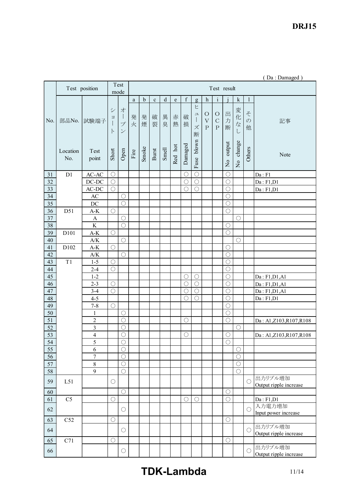*RWS 50B600B Series* **DRJ15**

|                 |                 |                                |                               |                                                                                                   | (Da: Damaged) |             |             |             |         |             |                                   |                                        |                                             |             |                               |                         |                                   |
|-----------------|-----------------|--------------------------------|-------------------------------|---------------------------------------------------------------------------------------------------|---------------|-------------|-------------|-------------|---------|-------------|-----------------------------------|----------------------------------------|---------------------------------------------|-------------|-------------------------------|-------------------------|-----------------------------------|
|                 |                 | Test position                  |                               | Test                                                                                              |               |             |             |             |         |             |                                   |                                        | Test result                                 |             |                               |                         |                                   |
|                 |                 |                                |                               | mode                                                                                              |               |             |             |             |         |             |                                   |                                        |                                             |             |                               |                         |                                   |
|                 |                 |                                |                               |                                                                                                   | a             | $\mathbf b$ | $\mathbf c$ | $\mathbf d$ | $\rm e$ | $\mathbf f$ | $\mathbf{g}$                      | $\,h$                                  | $\rm i$                                     |             | ${\bf k}$                     | $\mathbf{1}$            |                                   |
| No.             | 部品No.           | 試験端子                           | $\ddot{\checkmark}$<br>彐<br>ト | 才<br>$\begin{array}{c} \hline \end{array}$<br>$\mathcal{I}^{\circ}$<br>$\boldsymbol{\mathcal{V}}$ | 発<br>火        | 発<br>煙      | 破<br>裂      | 異<br>臭      | 赤<br>熱  | 破<br>損      | Ł<br>$\mathrel{\sqcup}$<br>ズ<br>断 | $\circ$<br>$\bar{V}$<br>$\overline{P}$ | $\bigcirc$<br>$\mathcal{C}$<br>$\mathbf{P}$ | 出<br>力<br>断 | 変<br>化<br>$\vec{z}$<br>$\cup$ | z<br>$\mathcal{D}$<br>他 | 記事                                |
|                 | Location<br>No. | Test<br>point                  | Short                         | Open                                                                                              | Fire          | Smoke       | Burst       | Smell       | Red hot | Damaged     | Fuse blown                        |                                        |                                             | No output   | change<br>$\overline{S}$      | Others                  | Note                              |
| 31              | D1              | $AC-AC$                        | $\bigcirc$                    |                                                                                                   |               |             |             |             |         | $\bigcirc$  | $\bigcirc$                        |                                        |                                             | $\bigcirc$  |                               |                         | Da: F1                            |
| 32              |                 | $DC-DC$                        | $\bigcirc$                    |                                                                                                   |               |             |             |             |         | $\bigcirc$  | $\bigcirc$                        |                                        |                                             | $\bigcirc$  |                               |                         | Da: F1, D1                        |
| 33              |                 | $AC-DC$                        | $\bigcirc$                    |                                                                                                   |               |             |             |             |         | $\bigcirc$  | $\bigcirc$                        |                                        |                                             | $\bigcirc$  |                               |                         | Da: F1, D1                        |
| 34              |                 | AC                             |                               | $\bigcirc$                                                                                        |               |             |             |             |         |             |                                   |                                        |                                             | $\bigcirc$  |                               |                         |                                   |
| $\overline{35}$ |                 | $DC$                           |                               | $\bigcirc$                                                                                        |               |             |             |             |         |             |                                   |                                        |                                             | $\bigcirc$  |                               |                         |                                   |
| $36\,$          | D51             | $\mathbf{A}\text{-}\mathbf{K}$ | $\bigcirc$                    |                                                                                                   |               |             |             |             |         |             |                                   |                                        |                                             | $\bigcirc$  |                               |                         |                                   |
| 37              |                 | A                              |                               | $\bigcirc$                                                                                        |               |             |             |             |         |             |                                   |                                        |                                             |             | $\bigcirc$                    |                         |                                   |
| 38              |                 | $\rm K$                        |                               | $\bigcirc$                                                                                        |               |             |             |             |         |             |                                   |                                        |                                             | $\bigcirc$  |                               |                         |                                   |
| 39              | D101            | $A-K$                          | $\bigcirc$                    |                                                                                                   |               |             |             |             |         |             |                                   |                                        |                                             | $\bigcirc$  |                               |                         |                                   |
| 40              |                 | A/K                            |                               | $\bigcirc$                                                                                        |               |             |             |             |         |             |                                   |                                        |                                             |             | $\bigcirc$                    |                         |                                   |
| 41              | D102            | $A-K$                          | $\bigcirc$                    |                                                                                                   |               |             |             |             |         |             |                                   |                                        |                                             | $\bigcirc$  |                               |                         |                                   |
| 42              |                 | $\mathbf{A/K}$                 |                               | $\bigcirc$                                                                                        |               |             |             |             |         |             |                                   |                                        |                                             | $\bigcirc$  |                               |                         |                                   |
| 43              | T1              | $1 - 5$                        | $\bigcirc$                    |                                                                                                   |               |             |             |             |         |             |                                   |                                        |                                             | $\bigcirc$  |                               |                         |                                   |
| $44\,$          |                 | $2 - 4$                        | $\bigcirc$                    |                                                                                                   |               |             |             |             |         |             |                                   |                                        |                                             | $\bigcirc$  |                               |                         |                                   |
| 45              |                 | $1 - 2$                        |                               |                                                                                                   |               |             |             |             |         | $\bigcirc$  | $\bigcirc$                        |                                        |                                             | $\bigcirc$  |                               |                         | Da: F1, D1, A1                    |
| $46\,$          |                 | $2 - 3$                        | O                             |                                                                                                   |               |             |             |             |         | $\bigcirc$  | $\bigcirc$                        |                                        |                                             | $\bigcirc$  |                               |                         | Da: F1, D1, A1                    |
| 47              |                 | $3-4$                          | $\bigcirc$                    |                                                                                                   |               |             |             |             |         | $\bigcirc$  | $\bigcirc$                        |                                        |                                             | $\bigcirc$  |                               |                         | Da: F1, D1, A1                    |
| 48              |                 | $4 - 5$                        |                               |                                                                                                   |               |             |             |             |         | $\bigcirc$  | $\bigcirc$                        |                                        |                                             | $\bigcirc$  |                               |                         | Da: F1, D1                        |
| 49              |                 | $7 - 8$                        | $\bigcirc$                    |                                                                                                   |               |             |             |             |         |             |                                   |                                        |                                             | $\bigcirc$  |                               |                         |                                   |
| $\overline{50}$ |                 | $\mathbf{1}$                   |                               | $\bigcirc$                                                                                        |               |             |             |             |         |             |                                   |                                        |                                             | $\bigcirc$  |                               |                         |                                   |
| 51              |                 | $\sqrt{2}$                     |                               | $\bigcirc$                                                                                        |               |             |             |             |         | $\bigcirc$  |                                   |                                        |                                             | $\bigcirc$  |                               |                         | Da: A1,Z103,R107,R108             |
| 52              |                 | $\overline{\mathbf{3}}$        |                               | $\bigcirc$                                                                                        |               |             |             |             |         |             |                                   |                                        |                                             |             | $\bigcirc$                    |                         |                                   |
| $\overline{53}$ |                 | $\overline{4}$                 |                               | $\overline{O}$                                                                                    |               |             |             |             |         | $\bigcirc$  |                                   |                                        |                                             | $\bigcirc$  |                               |                         | Da: A1,Z103,R107,R108             |
| 54              |                 | 5                              |                               | $\bigcirc$                                                                                        |               |             |             |             |         |             |                                   |                                        |                                             | $\bigcirc$  |                               |                         |                                   |
| 55              |                 | 6                              |                               | $\bigcirc$                                                                                        |               |             |             |             |         |             |                                   |                                        |                                             |             | $\bigcirc$                    |                         |                                   |
| 56              |                 | $\overline{7}$                 |                               | $\bigcirc$                                                                                        |               |             |             |             |         |             |                                   |                                        |                                             |             | $\bigcirc$                    |                         |                                   |
| 57              |                 | $\,8\,$                        |                               | $\bigcirc$                                                                                        |               |             |             |             |         |             |                                   |                                        |                                             |             | $\bigcirc$                    |                         |                                   |
| 58              |                 | 9                              |                               | $\bigcirc$                                                                                        |               |             |             |             |         |             |                                   |                                        |                                             |             | $\bigcirc$                    |                         |                                   |
| 59              | L51             |                                | $\bigcirc$                    |                                                                                                   |               |             |             |             |         |             |                                   |                                        |                                             |             |                               | $\bigcirc$              | 出力リプル増加<br>Output ripple increase |
| 60              |                 |                                |                               | $\bigcirc$                                                                                        |               |             |             |             |         |             |                                   |                                        |                                             | $\bigcirc$  |                               |                         |                                   |
| 61              | C <sub>5</sub>  |                                | $\bigcirc$                    |                                                                                                   |               |             |             |             |         | $\bigcirc$  | $\bigcirc$                        |                                        |                                             | $\bigcirc$  |                               |                         | Da: F1, D1                        |
| 62              |                 |                                |                               | $\bigcirc$                                                                                        |               |             |             |             |         |             |                                   |                                        |                                             |             |                               | $\bigcirc$              | 入力電力増加<br>Input power increase    |
| 63              | C52             |                                | $\bigcirc$                    |                                                                                                   |               |             |             |             |         |             |                                   |                                        |                                             | $\bigcirc$  |                               |                         |                                   |
| 64              |                 |                                |                               |                                                                                                   |               |             |             |             |         |             |                                   |                                        |                                             |             |                               |                         | 出力リプル増加                           |
|                 |                 |                                |                               | $\bigcirc$                                                                                        |               |             |             |             |         |             |                                   |                                        |                                             |             |                               | $\bigcirc$              | Output ripple increase            |
| 65              | C71             |                                | $\bigcirc$                    |                                                                                                   |               |             |             |             |         |             |                                   |                                        |                                             | $\bigcirc$  |                               |                         |                                   |
| 66              |                 |                                |                               | $\bigcirc$                                                                                        |               |             |             |             |         |             |                                   |                                        |                                             |             |                               | О                       | 出力リプル増加<br>Output ripple increase |

# **TDK-Lambda** 11/14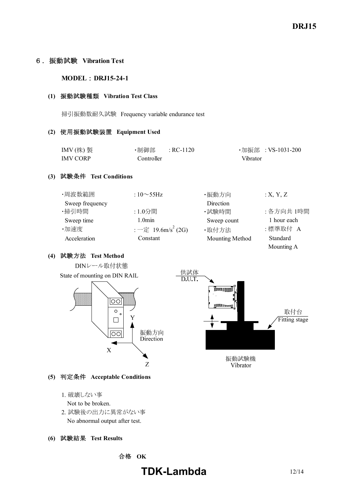#### 6.振動試験 **Vibration Test**

#### **MODEL : DRJ15-24-1**

#### **(1)** 振動試験種類 **Vibration Test Class**

掃引振動数耐久試験 Frequency variable endurance test

#### **(2)** 使用振動試験装置 **Equipment Used**

| IMV $($ 株) 製    | ・制御部       | $R$ C-1120 |          | ・加振部 :VS-1031-200 |
|-----------------|------------|------------|----------|-------------------|
| <b>IMV CORP</b> | Controller |            | Vibrator |                   |

#### **(3)** 試験条件 **Test Conditions**

| ・周波数範囲          | : $10\sim 55$ Hz                                   | ・振動方向           | :X, Y, Z    |
|-----------------|----------------------------------------------------|-----------------|-------------|
| Sweep frequency |                                                    | Direction       |             |
| ・掃引時間           | :1.0分間                                             | ・試験時間           | : 各方向共 1時間  |
| Sweep time      | 1.0 <sub>min</sub>                                 | Sweep count     | 1 hour each |
| ·加速度            | $:$ $ \bar{\mathcal{E}}$ 19.6m/s <sup>2</sup> (2G) | ·取付方法           | :標準取付 A     |
| Acceleration    | Constant                                           | Mounting Method | Standard    |
|                 |                                                    |                 | Mounting A  |

#### **(4)** 試験方法 **Test Method**



#### **(5)** 判定条件 **Acceptable Conditions**

- 1. 破壊しない事
	- Not to be broken.
- 2. 試験後の出力に異常がない事 No abnormal output after test.

#### **(6)** 試験結果 **Test Results**

合格 **OK**

# **TDK-Lambda** 12/14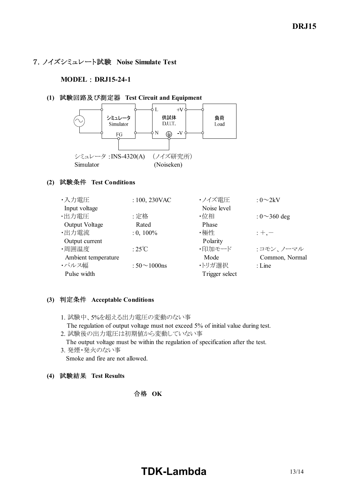## 7.ノイズシミュレート試験 **Noise Simulate Test**

#### **MODEL** : **DRJ15241**

#### **(1)** 試験回路及び測定器 **Test Circuit and Equipment**



#### **(2)** 試験条件 **Test Conditions**

| ・入力電圧               | : $100, 230$ VAC    | ・ノイズ電圧         | : $0\sim2kV$       |
|---------------------|---------------------|----------------|--------------------|
| Input voltage       |                     | Noise level    |                    |
| ・出力電圧               | :定格                 | ・位相            | : $0 \sim 360$ deg |
| Output Voltage      | Rated               | Phase          |                    |
| ·出力電流               | $: 0, 100\%$        | ・極性            | $: +, -$           |
| Output current      |                     | Polarity       |                    |
| ·周囲温度               | : $25^{\circ}$ C    | ・印加モード         | :コモン、ノーマル          |
| Ambient temperature |                     | Mode           | Common, Normal     |
| ・パルス幅               | : $50 \sim 1000$ ns | ・トリガ選択         | $:$ Line           |
| Pulse width         |                     | Trigger select |                    |

#### **(3)** 判定条件 **Acceptable Conditions**

- 1. 試験中、5%を超える出力電圧の変動のない事 The regulation of output voltage must not exceed 5% of initial value during test.
- 2. 試験後の出力電圧は初期値から変動していない事 The output voltage must be within the regulation of specification after the test.
- 3. 発煙・発火のない事 Smoke and fire are not allowed.
- **(4)** 試験結果 **Test Results**

## 合格 **OK**

# **TDK-Lambda** 13/14